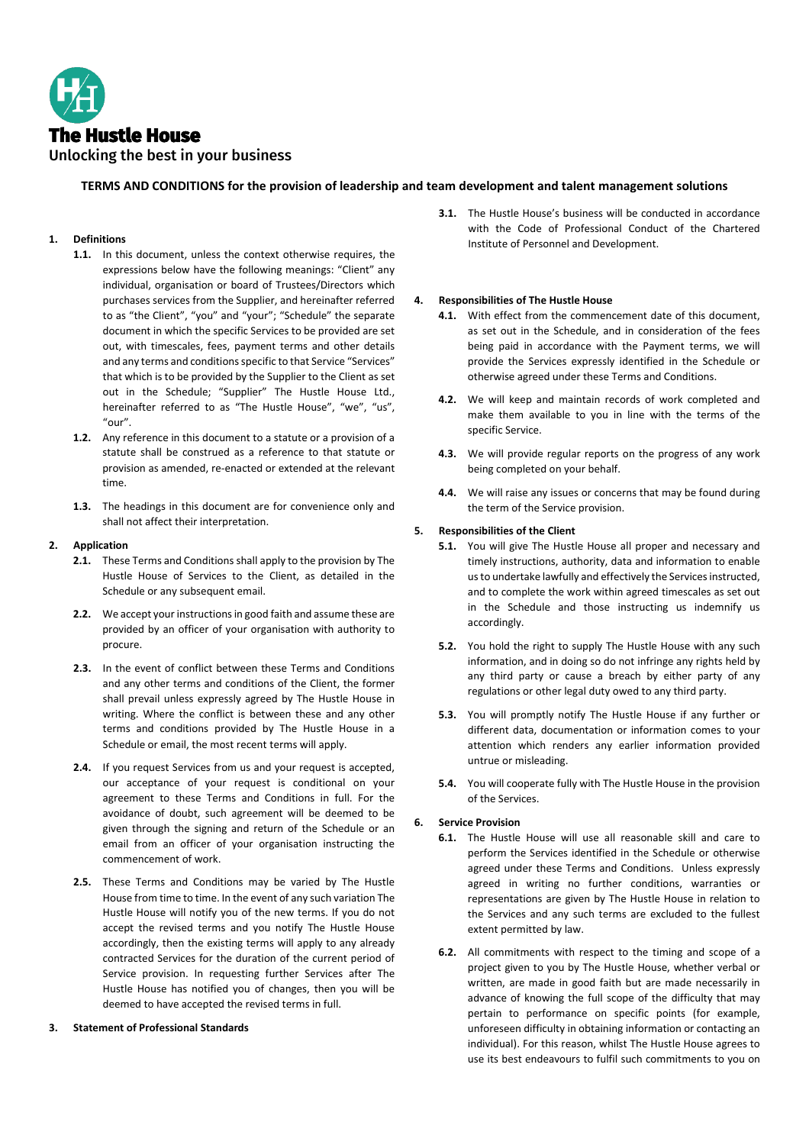

# **TERMS AND CONDITIONS for the provision of leadership and team development and talent management solutions**

# **1. Definitions**

- **1.1.** In this document, unless the context otherwise requires, the expressions below have the following meanings: "Client" any individual, organisation or board of Trustees/Directors which purchases services from the Supplier, and hereinafter referred to as "the Client", "you" and "your"; "Schedule" the separate document in which the specific Services to be provided are set out, with timescales, fees, payment terms and other details and any terms and conditions specific to that Service "Services" that which is to be provided by the Supplier to the Client as set out in the Schedule; "Supplier" The Hustle House Ltd., hereinafter referred to as "The Hustle House", "we", "us", "our".
- **1.2.** Any reference in this document to a statute or a provision of a statute shall be construed as a reference to that statute or provision as amended, re-enacted or extended at the relevant time.
- **1.3.** The headings in this document are for convenience only and shall not affect their interpretation.

#### **2. Application**

- **2.1.** These Terms and Conditions shall apply to the provision by The Hustle House of Services to the Client, as detailed in the Schedule or any subsequent email.
- **2.2.** We accept your instructions in good faith and assume these are provided by an officer of your organisation with authority to procure.
- **2.3.** In the event of conflict between these Terms and Conditions and any other terms and conditions of the Client, the former shall prevail unless expressly agreed by The Hustle House in writing. Where the conflict is between these and any other terms and conditions provided by The Hustle House in a Schedule or email, the most recent terms will apply.
- **2.4.** If you request Services from us and your request is accepted, our acceptance of your request is conditional on your agreement to these Terms and Conditions in full. For the avoidance of doubt, such agreement will be deemed to be given through the signing and return of the Schedule or an email from an officer of your organisation instructing the commencement of work.
- **2.5.** These Terms and Conditions may be varied by The Hustle House from time to time. In the event of any such variation The Hustle House will notify you of the new terms. If you do not accept the revised terms and you notify The Hustle House accordingly, then the existing terms will apply to any already contracted Services for the duration of the current period of Service provision. In requesting further Services after The Hustle House has notified you of changes, then you will be deemed to have accepted the revised terms in full.

#### **3. Statement of Professional Standards**

**3.1.** The Hustle House's business will be conducted in accordance with the Code of Professional Conduct of the Chartered Institute of Personnel and Development.

#### **4. Responsibilities of The Hustle House**

- **4.1.** With effect from the commencement date of this document, as set out in the Schedule, and in consideration of the fees being paid in accordance with the Payment terms, we will provide the Services expressly identified in the Schedule or otherwise agreed under these Terms and Conditions.
- **4.2.** We will keep and maintain records of work completed and make them available to you in line with the terms of the specific Service.
- **4.3.** We will provide regular reports on the progress of any work being completed on your behalf.
- **4.4.** We will raise any issues or concerns that may be found during the term of the Service provision.

# **5. Responsibilities of the Client**

- **5.1.** You will give The Hustle House all proper and necessary and timely instructions, authority, data and information to enable us to undertake lawfully and effectively the Services instructed, and to complete the work within agreed timescales as set out in the Schedule and those instructing us indemnify us accordingly.
- **5.2.** You hold the right to supply The Hustle House with any such information, and in doing so do not infringe any rights held by any third party or cause a breach by either party of any regulations or other legal duty owed to any third party.
- **5.3.** You will promptly notify The Hustle House if any further or different data, documentation or information comes to your attention which renders any earlier information provided untrue or misleading.
- **5.4.** You will cooperate fully with The Hustle House in the provision of the Services.

#### **6. Service Provision**

- **6.1.** The Hustle House will use all reasonable skill and care to perform the Services identified in the Schedule or otherwise agreed under these Terms and Conditions. Unless expressly agreed in writing no further conditions, warranties or representations are given by The Hustle House in relation to the Services and any such terms are excluded to the fullest extent permitted by law.
- **6.2.** All commitments with respect to the timing and scope of a project given to you by The Hustle House, whether verbal or written, are made in good faith but are made necessarily in advance of knowing the full scope of the difficulty that may pertain to performance on specific points (for example, unforeseen difficulty in obtaining information or contacting an individual). For this reason, whilst The Hustle House agrees to use its best endeavours to fulfil such commitments to you on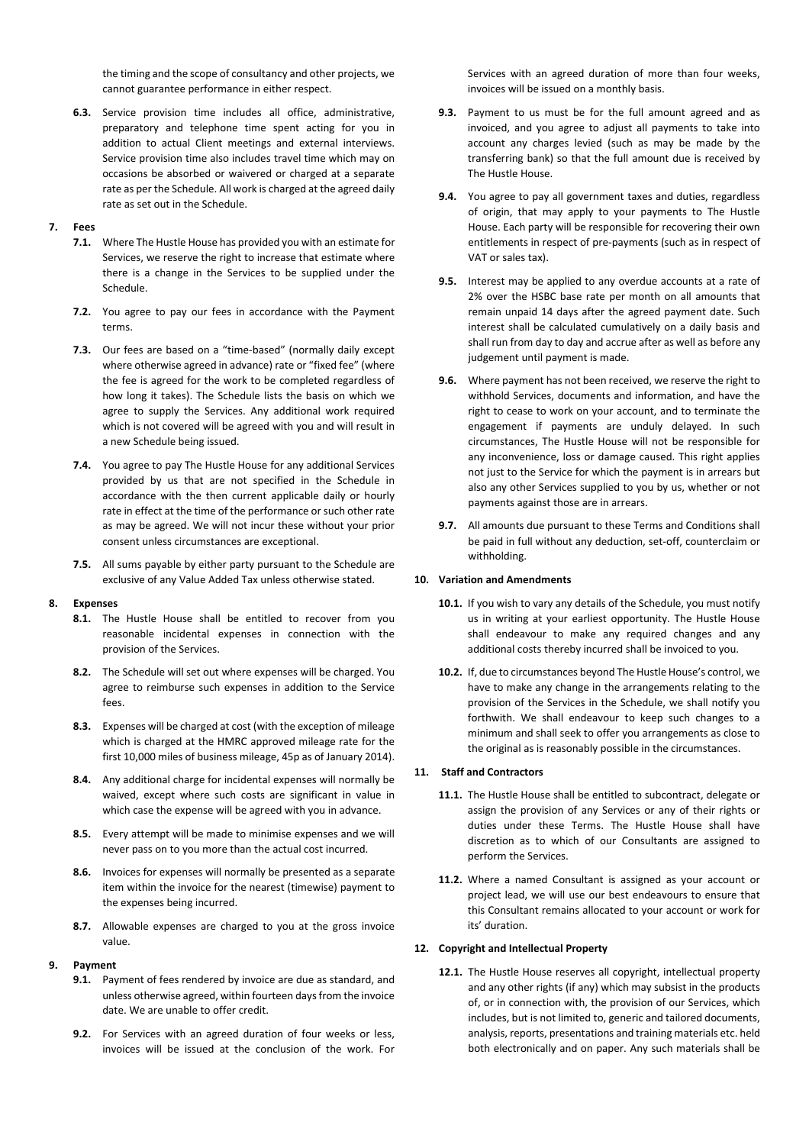the timing and the scope of consultancy and other projects, we cannot guarantee performance in either respect.

**6.3.** Service provision time includes all office, administrative, preparatory and telephone time spent acting for you in addition to actual Client meetings and external interviews. Service provision time also includes travel time which may on occasions be absorbed or waivered or charged at a separate rate as per the Schedule. All work is charged at the agreed daily rate as set out in the Schedule.

#### **7. Fees**

- **7.1.** Where The Hustle House has provided you with an estimate for Services, we reserve the right to increase that estimate where there is a change in the Services to be supplied under the Schedule.
- **7.2.** You agree to pay our fees in accordance with the Payment terms.
- **7.3.** Our fees are based on a "time-based" (normally daily except where otherwise agreed in advance) rate or "fixed fee" (where the fee is agreed for the work to be completed regardless of how long it takes). The Schedule lists the basis on which we agree to supply the Services. Any additional work required which is not covered will be agreed with you and will result in a new Schedule being issued.
- **7.4.** You agree to pay The Hustle House for any additional Services provided by us that are not specified in the Schedule in accordance with the then current applicable daily or hourly rate in effect at the time of the performance or such other rate as may be agreed. We will not incur these without your prior consent unless circumstances are exceptional.
- **7.5.** All sums payable by either party pursuant to the Schedule are exclusive of any Value Added Tax unless otherwise stated.

#### **8. Expenses**

- **8.1.** The Hustle House shall be entitled to recover from you reasonable incidental expenses in connection with the provision of the Services.
- **8.2.** The Schedule will set out where expenses will be charged. You agree to reimburse such expenses in addition to the Service fees.
- **8.3.** Expenses will be charged at cost (with the exception of mileage which is charged at the HMRC approved mileage rate for the first 10,000 miles of business mileage, 45p as of January 2014).
- **8.4.** Any additional charge for incidental expenses will normally be waived, except where such costs are significant in value in which case the expense will be agreed with you in advance.
- **8.5.** Every attempt will be made to minimise expenses and we will never pass on to you more than the actual cost incurred.
- **8.6.** Invoices for expenses will normally be presented as a separate item within the invoice for the nearest (timewise) payment to the expenses being incurred.
- **8.7.** Allowable expenses are charged to you at the gross invoice value.
- **9. Payment**
	- **9.1.** Payment of fees rendered by invoice are due as standard, and unless otherwise agreed, within fourteen daysfrom the invoice date. We are unable to offer credit.
	- **9.2.** For Services with an agreed duration of four weeks or less, invoices will be issued at the conclusion of the work. For

Services with an agreed duration of more than four weeks, invoices will be issued on a monthly basis.

- **9.3.** Payment to us must be for the full amount agreed and as invoiced, and you agree to adjust all payments to take into account any charges levied (such as may be made by the transferring bank) so that the full amount due is received by The Hustle House.
- **9.4.** You agree to pay all government taxes and duties, regardless of origin, that may apply to your payments to The Hustle House. Each party will be responsible for recovering their own entitlements in respect of pre-payments (such as in respect of VAT or sales tax).
- **9.5.** Interest may be applied to any overdue accounts at a rate of 2% over the HSBC base rate per month on all amounts that remain unpaid 14 days after the agreed payment date. Such interest shall be calculated cumulatively on a daily basis and shall run from day to day and accrue after as well as before any judgement until payment is made.
- **9.6.** Where payment has not been received, we reserve the right to withhold Services, documents and information, and have the right to cease to work on your account, and to terminate the engagement if payments are unduly delayed. In such circumstances, The Hustle House will not be responsible for any inconvenience, loss or damage caused. This right applies not just to the Service for which the payment is in arrears but also any other Services supplied to you by us, whether or not payments against those are in arrears.
- **9.7.** All amounts due pursuant to these Terms and Conditions shall be paid in full without any deduction, set-off, counterclaim or withholding.

#### **10. Variation and Amendments**

- **10.1.** If you wish to vary any details of the Schedule, you must notify us in writing at your earliest opportunity. The Hustle House shall endeavour to make any required changes and any additional costs thereby incurred shall be invoiced to you.
- **10.2.** If, due to circumstances beyond The Hustle House's control, we have to make any change in the arrangements relating to the provision of the Services in the Schedule, we shall notify you forthwith. We shall endeavour to keep such changes to a minimum and shall seek to offer you arrangements as close to the original as is reasonably possible in the circumstances.

# **11. Staff and Contractors**

- **11.1.** The Hustle House shall be entitled to subcontract, delegate or assign the provision of any Services or any of their rights or duties under these Terms. The Hustle House shall have discretion as to which of our Consultants are assigned to perform the Services.
- **11.2.** Where a named Consultant is assigned as your account or project lead, we will use our best endeavours to ensure that this Consultant remains allocated to your account or work for its' duration.

#### **12. Copyright and Intellectual Property**

**12.1.** The Hustle House reserves all copyright, intellectual property and any other rights (if any) which may subsist in the products of, or in connection with, the provision of our Services, which includes, but is not limited to, generic and tailored documents, analysis, reports, presentations and training materials etc. held both electronically and on paper. Any such materials shall be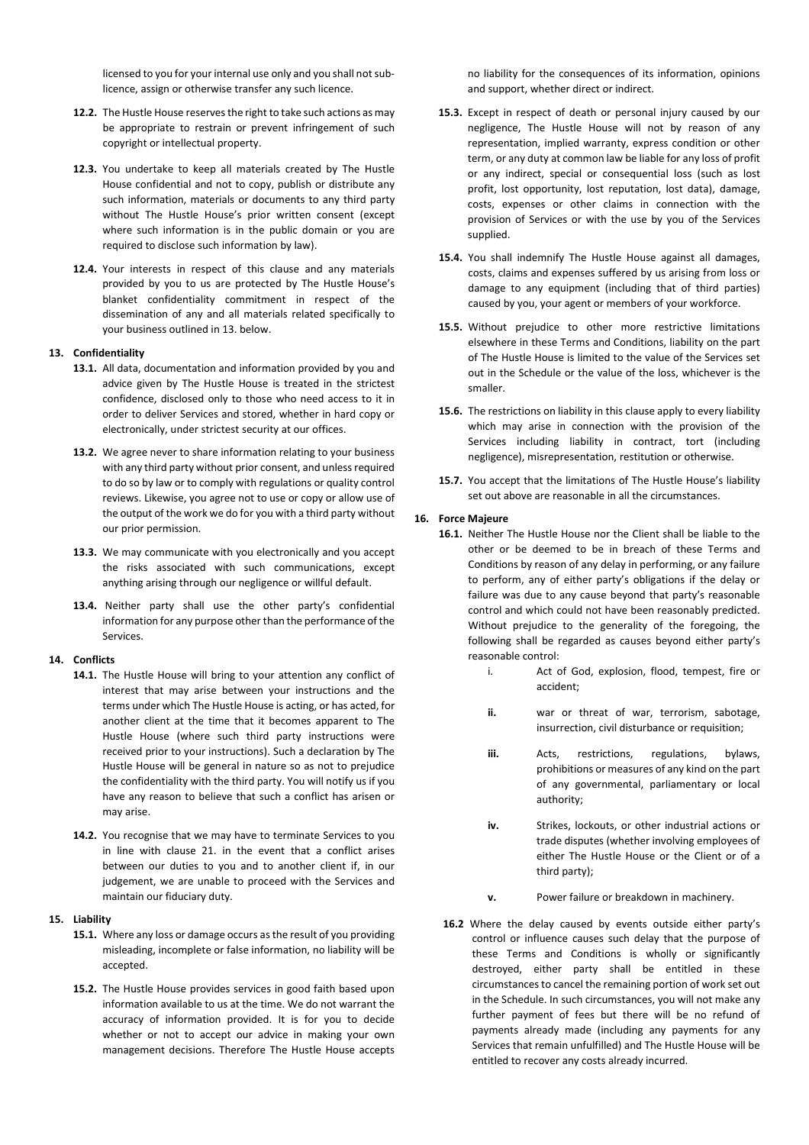licensed to you for your internal use only and you shall not sublicence, assign or otherwise transfer any such licence.

- 12.2. The Hustle House reserves the right to take such actions as may be appropriate to restrain or prevent infringement of such copyright or intellectual property.
- **12.3.** You undertake to keep all materials created by The Hustle House confidential and not to copy, publish or distribute any such information, materials or documents to any third party without The Hustle House's prior written consent (except where such information is in the public domain or you are required to disclose such information by law).
- **12.4.** Your interests in respect of this clause and any materials provided by you to us are protected by The Hustle House's blanket confidentiality commitment in respect of the dissemination of any and all materials related specifically to your business outlined in 13. below.

#### **13. Confidentiality**

- **13.1.** All data, documentation and information provided by you and advice given by The Hustle House is treated in the strictest confidence, disclosed only to those who need access to it in order to deliver Services and stored, whether in hard copy or electronically, under strictest security at our offices.
- **13.2.** We agree never to share information relating to your business with any third party without prior consent, and unless required to do so by law or to comply with regulations or quality control reviews. Likewise, you agree not to use or copy or allow use of the output of the work we do for you with a third party without our prior permission.
- **13.3.** We may communicate with you electronically and you accept the risks associated with such communications, except anything arising through our negligence or willful default.
- **13.4.** Neither party shall use the other party's confidential information for any purpose other than the performance of the Services.

#### **14. Conflicts**

- **14.1.** The Hustle House will bring to your attention any conflict of interest that may arise between your instructions and the terms under which The Hustle House is acting, or has acted, for another client at the time that it becomes apparent to The Hustle House (where such third party instructions were received prior to your instructions). Such a declaration by The Hustle House will be general in nature so as not to prejudice the confidentiality with the third party. You will notify us if you have any reason to believe that such a conflict has arisen or may arise.
- **14.2.** You recognise that we may have to terminate Services to you in line with clause 21. in the event that a conflict arises between our duties to you and to another client if, in our judgement, we are unable to proceed with the Services and maintain our fiduciary duty.

#### **15. Liability**

- 15.1. Where any loss or damage occurs as the result of you providing misleading, incomplete or false information, no liability will be accepted.
- **15.2.** The Hustle House provides services in good faith based upon information available to us at the time. We do not warrant the accuracy of information provided. It is for you to decide whether or not to accept our advice in making your own management decisions. Therefore The Hustle House accepts

no liability for the consequences of its information, opinions and support, whether direct or indirect.

- **15.3.** Except in respect of death or personal injury caused by our negligence, The Hustle House will not by reason of any representation, implied warranty, express condition or other term, or any duty at common law be liable for any loss of profit or any indirect, special or consequential loss (such as lost profit, lost opportunity, lost reputation, lost data), damage, costs, expenses or other claims in connection with the provision of Services or with the use by you of the Services supplied.
- **15.4.** You shall indemnify The Hustle House against all damages, costs, claims and expenses suffered by us arising from loss or damage to any equipment (including that of third parties) caused by you, your agent or members of your workforce.
- **15.5.** Without prejudice to other more restrictive limitations elsewhere in these Terms and Conditions, liability on the part of The Hustle House is limited to the value of the Services set out in the Schedule or the value of the loss, whichever is the smaller.
- **15.6.** The restrictions on liability in this clause apply to every liability which may arise in connection with the provision of the Services including liability in contract, tort (including negligence), misrepresentation, restitution or otherwise.
- **15.7.** You accept that the limitations of The Hustle House's liability set out above are reasonable in all the circumstances.

#### **16. Force Majeure**

- **16.1.** Neither The Hustle House nor the Client shall be liable to the other or be deemed to be in breach of these Terms and Conditions by reason of any delay in performing, or any failure to perform, any of either party's obligations if the delay or failure was due to any cause beyond that party's reasonable control and which could not have been reasonably predicted. Without prejudice to the generality of the foregoing, the following shall be regarded as causes beyond either party's reasonable control:
	- i. Act of God, explosion, flood, tempest, fire or accident;
	- **ii.** war or threat of war, terrorism, sabotage, insurrection, civil disturbance or requisition;
	- **iii.** Acts, restrictions, regulations, bylaws, prohibitions or measures of any kind on the part of any governmental, parliamentary or local authority;
	- iv. Strikes, lockouts, or other industrial actions or trade disputes (whether involving employees of either The Hustle House or the Client or of a third party);
	- **v.** Power failure or breakdown in machinery.
- **16.2** Where the delay caused by events outside either party's control or influence causes such delay that the purpose of these Terms and Conditions is wholly or significantly destroyed, either party shall be entitled in these circumstances to cancel the remaining portion of work set out in the Schedule. In such circumstances, you will not make any further payment of fees but there will be no refund of payments already made (including any payments for any Services that remain unfulfilled) and The Hustle House will be entitled to recover any costs already incurred.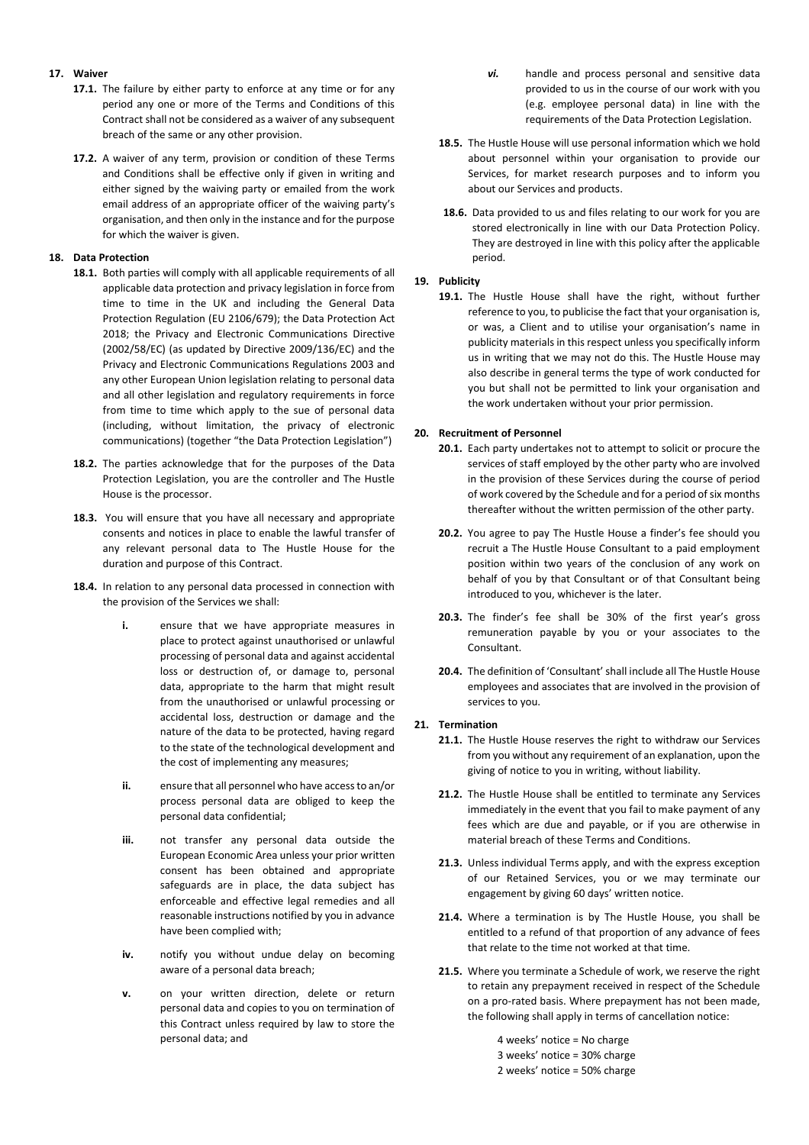# **17. Waiver**

- **17.1.** The failure by either party to enforce at any time or for any period any one or more of the Terms and Conditions of this Contract shall not be considered as a waiver of any subsequent breach of the same or any other provision.
- **17.2.** A waiver of any term, provision or condition of these Terms and Conditions shall be effective only if given in writing and either signed by the waiving party or emailed from the work email address of an appropriate officer of the waiving party's organisation, and then only in the instance and for the purpose for which the waiver is given.

### **18. Data Protection**

- **18.1.** Both parties will comply with all applicable requirements of all applicable data protection and privacy legislation in force from time to time in the UK and including the General Data Protection Regulation (EU 2106/679); the Data Protection Act 2018; the Privacy and Electronic Communications Directive (2002/58/EC) (as updated by Directive 2009/136/EC) and the Privacy and Electronic Communications Regulations 2003 and any other European Union legislation relating to personal data and all other legislation and regulatory requirements in force from time to time which apply to the sue of personal data (including, without limitation, the privacy of electronic communications) (together "the Data Protection Legislation")
- **18.2.** The parties acknowledge that for the purposes of the Data Protection Legislation, you are the controller and The Hustle House is the processor.
- **18.3.** You will ensure that you have all necessary and appropriate consents and notices in place to enable the lawful transfer of any relevant personal data to The Hustle House for the duration and purpose of this Contract.
- **18.4.** In relation to any personal data processed in connection with the provision of the Services we shall:
	- **i.** ensure that we have appropriate measures in place to protect against unauthorised or unlawful processing of personal data and against accidental loss or destruction of, or damage to, personal data, appropriate to the harm that might result from the unauthorised or unlawful processing or accidental loss, destruction or damage and the nature of the data to be protected, having regard to the state of the technological development and the cost of implementing any measures;
	- **ii.** ensure that all personnel who have accessto an/or process personal data are obliged to keep the personal data confidential;
	- **iii.** not transfer any personal data outside the European Economic Area unless your prior written consent has been obtained and appropriate safeguards are in place, the data subject has enforceable and effective legal remedies and all reasonable instructions notified by you in advance have been complied with;
	- **iv.** notify you without undue delay on becoming aware of a personal data breach;
	- **v.** on your written direction, delete or return personal data and copies to you on termination of this Contract unless required by law to store the personal data; and
- *vi.* handle and process personal and sensitive data provided to us in the course of our work with you (e.g. employee personal data) in line with the requirements of the Data Protection Legislation.
- **18.5.** The Hustle House will use personal information which we hold about personnel within your organisation to provide our Services, for market research purposes and to inform you about our Services and products.
- **18.6.** Data provided to us and files relating to our work for you are stored electronically in line with our Data Protection Policy. They are destroyed in line with this policy after the applicable period.

# **19. Publicity**

**19.1.** The Hustle House shall have the right, without further reference to you, to publicise the fact that your organisation is, or was, a Client and to utilise your organisation's name in publicity materials in this respect unless you specifically inform us in writing that we may not do this. The Hustle House may also describe in general terms the type of work conducted for you but shall not be permitted to link your organisation and the work undertaken without your prior permission.

# **20. Recruitment of Personnel**

- **20.1.** Each party undertakes not to attempt to solicit or procure the services of staff employed by the other party who are involved in the provision of these Services during the course of period of work covered by the Schedule and for a period of six months thereafter without the written permission of the other party.
- **20.2.** You agree to pay The Hustle House a finder's fee should you recruit a The Hustle House Consultant to a paid employment position within two years of the conclusion of any work on behalf of you by that Consultant or of that Consultant being introduced to you, whichever is the later.
- **20.3.** The finder's fee shall be 30% of the first year's gross remuneration payable by you or your associates to the Consultant.
- **20.4.** The definition of 'Consultant'shall include all The Hustle House employees and associates that are involved in the provision of services to you.

#### **21. Termination**

- **21.1.** The Hustle House reserves the right to withdraw our Services from you without any requirement of an explanation, upon the giving of notice to you in writing, without liability.
- **21.2.** The Hustle House shall be entitled to terminate any Services immediately in the event that you fail to make payment of any fees which are due and payable, or if you are otherwise in material breach of these Terms and Conditions.
- **21.3.** Unless individual Terms apply, and with the express exception of our Retained Services, you or we may terminate our engagement by giving 60 days' written notice.
- **21.4.** Where a termination is by The Hustle House, you shall be entitled to a refund of that proportion of any advance of fees that relate to the time not worked at that time.
- **21.5.** Where you terminate a Schedule of work, we reserve the right to retain any prepayment received in respect of the Schedule on a pro-rated basis. Where prepayment has not been made, the following shall apply in terms of cancellation notice:
	- 4 weeks' notice = No charge 3 weeks' notice = 30% charge 2 weeks' notice = 50% charge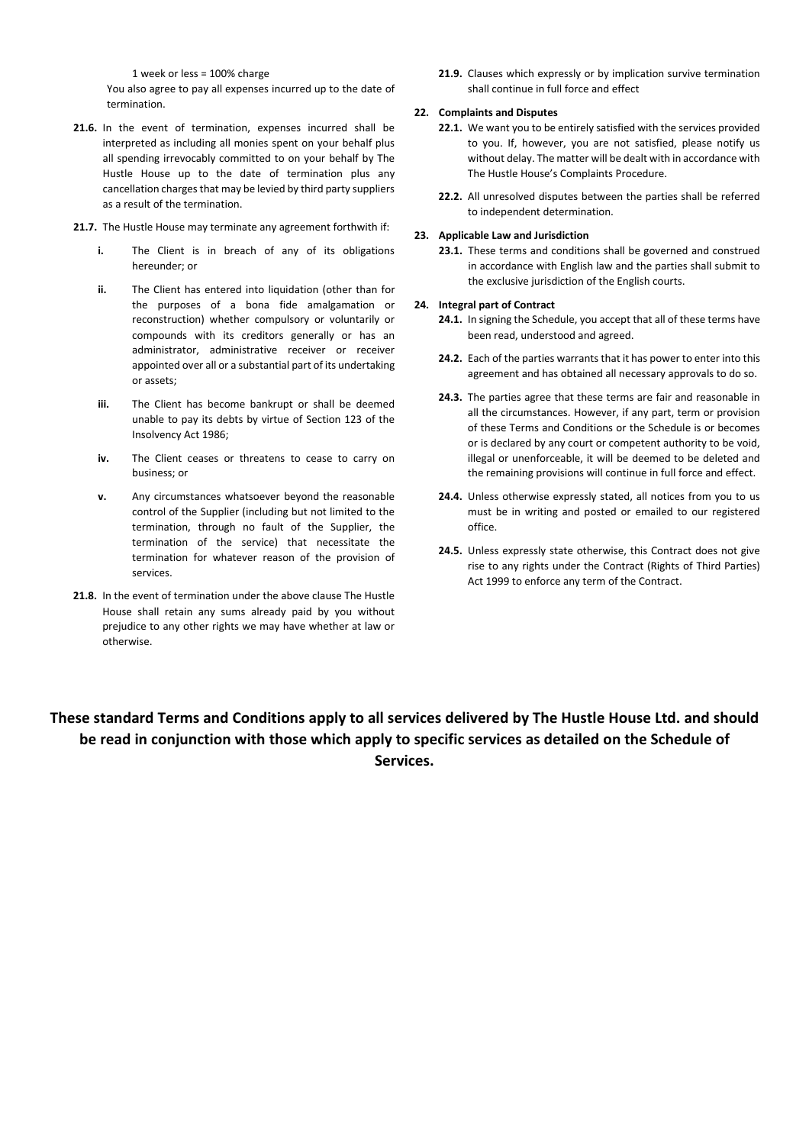1 week or less = 100% charge

You also agree to pay all expenses incurred up to the date of termination.

- **21.6.** In the event of termination, expenses incurred shall be interpreted as including all monies spent on your behalf plus all spending irrevocably committed to on your behalf by The Hustle House up to the date of termination plus any cancellation charges that may be levied by third party suppliers as a result of the termination.
- **21.7.** The Hustle House may terminate any agreement forthwith if:
	- **i.** The Client is in breach of any of its obligations hereunder; or
	- **ii.** The Client has entered into liquidation (other than for the purposes of a bona fide amalgamation or reconstruction) whether compulsory or voluntarily or compounds with its creditors generally or has an administrator, administrative receiver or receiver appointed over all or a substantial part of its undertaking or assets;
	- **iii.** The Client has become bankrupt or shall be deemed unable to pay its debts by virtue of Section 123 of the Insolvency Act 1986;
	- **iv.** The Client ceases or threatens to cease to carry on business; or
	- **v.** Any circumstances whatsoever beyond the reasonable control of the Supplier (including but not limited to the termination, through no fault of the Supplier, the termination of the service) that necessitate the termination for whatever reason of the provision of services.
- **21.8.** In the event of termination under the above clause The Hustle House shall retain any sums already paid by you without prejudice to any other rights we may have whether at law or otherwise.

**21.9.** Clauses which expressly or by implication survive termination shall continue in full force and effect

# **22. Complaints and Disputes**

- **22.1.** We want you to be entirely satisfied with the services provided to you. If, however, you are not satisfied, please notify us without delay. The matter will be dealt with in accordance with The Hustle House's Complaints Procedure.
- **22.2.** All unresolved disputes between the parties shall be referred to independent determination.

#### **23. Applicable Law and Jurisdiction**

**23.1.** These terms and conditions shall be governed and construed in accordance with English law and the parties shall submit to the exclusive jurisdiction of the English courts.

#### **24. Integral part of Contract**

- **24.1.** In signing the Schedule, you accept that all of these terms have been read, understood and agreed.
- **24.2.** Each of the parties warrants that it has power to enter into this agreement and has obtained all necessary approvals to do so.
- **24.3.** The parties agree that these terms are fair and reasonable in all the circumstances. However, if any part, term or provision of these Terms and Conditions or the Schedule is or becomes or is declared by any court or competent authority to be void, illegal or unenforceable, it will be deemed to be deleted and the remaining provisions will continue in full force and effect.
- **24.4.** Unless otherwise expressly stated, all notices from you to us must be in writing and posted or emailed to our registered office.
- **24.5.** Unless expressly state otherwise, this Contract does not give rise to any rights under the Contract (Rights of Third Parties) Act 1999 to enforce any term of the Contract.

# **These standard Terms and Conditions apply to all services delivered by The Hustle House Ltd. and should be read in conjunction with those which apply to specific services as detailed on the Schedule of Services.**